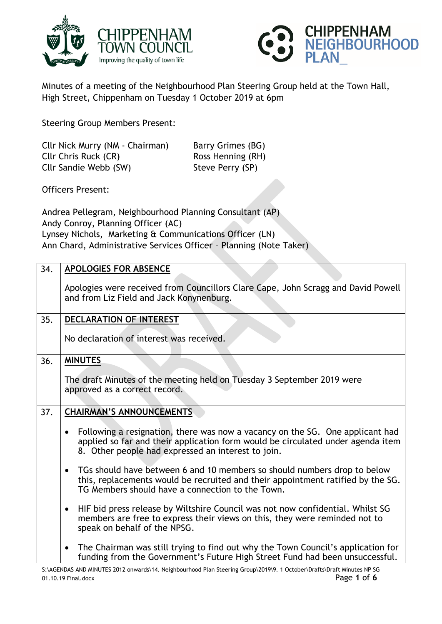



Minutes of a meeting of the Neighbourhood Plan Steering Group held at the Town Hall, High Street, Chippenham on Tuesday 1 October 2019 at 6pm

Steering Group Members Present:

Cllr Nick Murry (NM - Chairman) Barry Grimes (BG) Cllr Chris Ruck (CR) Ross Henning (RH) Cllr Sandie Webb (SW) Steve Perry (SP)

Officers Present:

Andrea Pellegram, Neighbourhood Planning Consultant (AP) Andy Conroy, Planning Officer (AC) Lynsey Nichols, Marketing & Communications Officer (LN) Ann Chard, Administrative Services Officer – Planning (Note Taker)

| 34. | APOLOGIES FOR ABSENCE                                                                                                                                                                                                               |  |  |  |
|-----|-------------------------------------------------------------------------------------------------------------------------------------------------------------------------------------------------------------------------------------|--|--|--|
|     | Apologies were received from Councillors Clare Cape, John Scragg and David Powell<br>and from Liz Field and Jack Konynenburg.                                                                                                       |  |  |  |
| 35. | DECLARATION OF INTEREST                                                                                                                                                                                                             |  |  |  |
|     | No declaration of interest was received.                                                                                                                                                                                            |  |  |  |
| 36. | <b>MINUTES</b>                                                                                                                                                                                                                      |  |  |  |
|     | The draft Minutes of the meeting held on Tuesday 3 September 2019 were<br>approved as a correct record.                                                                                                                             |  |  |  |
| 37. | <b>CHAIRMAN'S ANNOUNCEMENTS</b>                                                                                                                                                                                                     |  |  |  |
|     | Following a resignation, there was now a vacancy on the SG. One applicant had<br>$\bullet$<br>applied so far and their application form would be circulated under agenda item<br>8. Other people had expressed an interest to join. |  |  |  |
|     | TGs should have between 6 and 10 members so should numbers drop to below<br>$\bullet$<br>this, replacements would be recruited and their appointment ratified by the SG.<br>TG Members should have a connection to the Town.        |  |  |  |
|     | HIF bid press release by Wiltshire Council was not now confidential. Whilst SG<br>$\bullet$<br>members are free to express their views on this, they were reminded not to<br>speak on behalf of the NPSG.                           |  |  |  |
|     | The Chairman was still trying to find out why the Town Council's application for<br>$\bullet$<br>funding from the Government's Future High Street Fund had been unsuccessful.                                                       |  |  |  |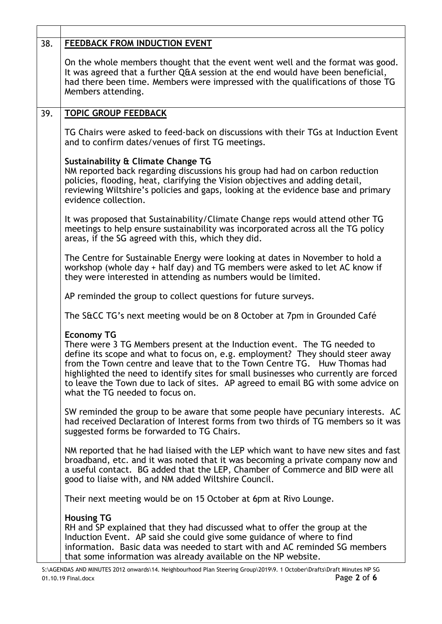| 38.                                                                                                                                                                                                                                                                        | FEEDBACK FROM INDUCTION EVENT                                                                                                                                                                                                                                                                                                                                                                                                                                                |  |  |  |
|----------------------------------------------------------------------------------------------------------------------------------------------------------------------------------------------------------------------------------------------------------------------------|------------------------------------------------------------------------------------------------------------------------------------------------------------------------------------------------------------------------------------------------------------------------------------------------------------------------------------------------------------------------------------------------------------------------------------------------------------------------------|--|--|--|
| On the whole members thought that the event went well and the format was good.<br>It was agreed that a further Q&A session at the end would have been beneficial,<br>had there been time. Members were impressed with the qualifications of those TG<br>Members attending. |                                                                                                                                                                                                                                                                                                                                                                                                                                                                              |  |  |  |
| 39.                                                                                                                                                                                                                                                                        | <b>TOPIC GROUP FEEDBACK</b>                                                                                                                                                                                                                                                                                                                                                                                                                                                  |  |  |  |
|                                                                                                                                                                                                                                                                            | TG Chairs were asked to feed-back on discussions with their TGs at Induction Event<br>and to confirm dates/venues of first TG meetings.                                                                                                                                                                                                                                                                                                                                      |  |  |  |
|                                                                                                                                                                                                                                                                            | Sustainability & Climate Change TG<br>NM reported back regarding discussions his group had had on carbon reduction<br>policies, flooding, heat, clarifying the Vision objectives and adding detail,<br>reviewing Wiltshire's policies and gaps, looking at the evidence base and primary<br>evidence collection.                                                                                                                                                             |  |  |  |
|                                                                                                                                                                                                                                                                            | It was proposed that Sustainability/Climate Change reps would attend other TG<br>meetings to help ensure sustainability was incorporated across all the TG policy<br>areas, if the SG agreed with this, which they did.                                                                                                                                                                                                                                                      |  |  |  |
|                                                                                                                                                                                                                                                                            | The Centre for Sustainable Energy were looking at dates in November to hold a<br>workshop (whole day + half day) and TG members were asked to let AC know if<br>they were interested in attending as numbers would be limited.                                                                                                                                                                                                                                               |  |  |  |
|                                                                                                                                                                                                                                                                            | AP reminded the group to collect questions for future surveys.                                                                                                                                                                                                                                                                                                                                                                                                               |  |  |  |
|                                                                                                                                                                                                                                                                            | The S&CC TG's next meeting would be on 8 October at 7pm in Grounded Café                                                                                                                                                                                                                                                                                                                                                                                                     |  |  |  |
|                                                                                                                                                                                                                                                                            | <b>Economy TG</b><br>There were 3 TG Members present at the Induction event. The TG needed to<br>define its scope and what to focus on, e.g. employment? They should steer away<br>from the Town centre and leave that to the Town Centre TG. Huw Thomas had<br>highlighted the need to identify sites for small businesses who currently are forced<br>to leave the Town due to lack of sites. AP agreed to email BG with some advice on<br>what the TG needed to focus on. |  |  |  |
|                                                                                                                                                                                                                                                                            | SW reminded the group to be aware that some people have pecuniary interests. AC<br>had received Declaration of Interest forms from two thirds of TG members so it was<br>suggested forms be forwarded to TG Chairs.                                                                                                                                                                                                                                                          |  |  |  |
|                                                                                                                                                                                                                                                                            | NM reported that he had liaised with the LEP which want to have new sites and fast<br>broadband, etc. and it was noted that it was becoming a private company now and<br>a useful contact. BG added that the LEP, Chamber of Commerce and BID were all<br>good to liaise with, and NM added Wiltshire Council.                                                                                                                                                               |  |  |  |
|                                                                                                                                                                                                                                                                            | Their next meeting would be on 15 October at 6pm at Rivo Lounge.                                                                                                                                                                                                                                                                                                                                                                                                             |  |  |  |
|                                                                                                                                                                                                                                                                            | <b>Housing TG</b><br>RH and SP explained that they had discussed what to offer the group at the<br>Induction Event. AP said she could give some guidance of where to find<br>information. Basic data was needed to start with and AC reminded SG members<br>that some information was already available on the NP website.<br>S:\AGENDAS AND MINUTES 2012 onwards\14. Neighbourhood Plan Steering Group\2019\9. 1 October\Drafts\Draft Minutes NP SG                         |  |  |  |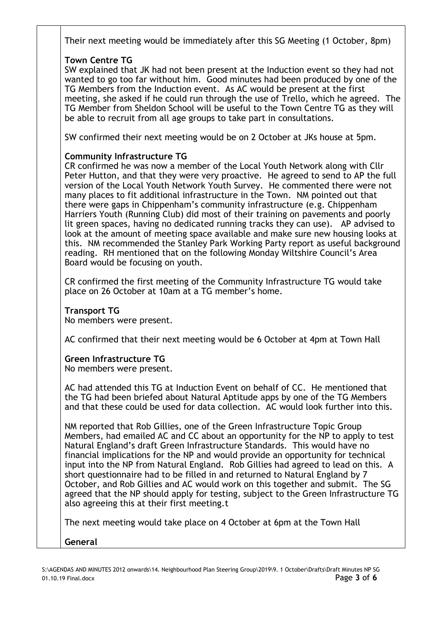Their next meeting would be immediately after this SG Meeting (1 October, 8pm)

## **Town Centre TG**

SW explained that JK had not been present at the Induction event so they had not wanted to go too far without him. Good minutes had been produced by one of the TG Members from the Induction event. As AC would be present at the first meeting, she asked if he could run through the use of Trello, which he agreed. The TG Member from Sheldon School will be useful to the Town Centre TG as they will be able to recruit from all age groups to take part in consultations.

SW confirmed their next meeting would be on 2 October at JKs house at 5pm.

## **Community Infrastructure TG**

CR confirmed he was now a member of the Local Youth Network along with Cllr Peter Hutton, and that they were very proactive. He agreed to send to AP the full version of the Local Youth Network Youth Survey. He commented there were not many places to fit additional infrastructure in the Town. NM pointed out that there were gaps in Chippenham's community infrastructure (e.g. Chippenham Harriers Youth (Running Club) did most of their training on pavements and poorly lit green spaces, having no dedicated running tracks they can use). AP advised to look at the amount of meeting space available and make sure new housing looks at this. NM recommended the Stanley Park Working Party report as useful background reading. RH mentioned that on the following Monday Wiltshire Council's Area Board would be focusing on youth.

CR confirmed the first meeting of the Community Infrastructure TG would take place on 26 October at 10am at a TG member's home.

## **Transport TG**

No members were present.

AC confirmed that their next meeting would be 6 October at 4pm at Town Hall

## **Green Infrastructure TG**

No members were present.

AC had attended this TG at Induction Event on behalf of CC. He mentioned that the TG had been briefed about Natural Aptitude apps by one of the TG Members and that these could be used for data collection. AC would look further into this.

NM reported that Rob Gillies, one of the Green Infrastructure Topic Group Members, had emailed AC and CC about an opportunity for the NP to apply to test Natural England's draft Green Infrastructure Standards. This would have no financial implications for the NP and would provide an opportunity for technical input into the NP from Natural England. Rob Gillies had agreed to lead on this. A short questionnaire had to be filled in and returned to Natural England by 7 October, and Rob Gillies and AC would work on this together and submit. The SG agreed that the NP should apply for testing, subject to the Green Infrastructure TG also agreeing this at their first meeting.t

The next meeting would take place on 4 October at 6pm at the Town Hall

**General**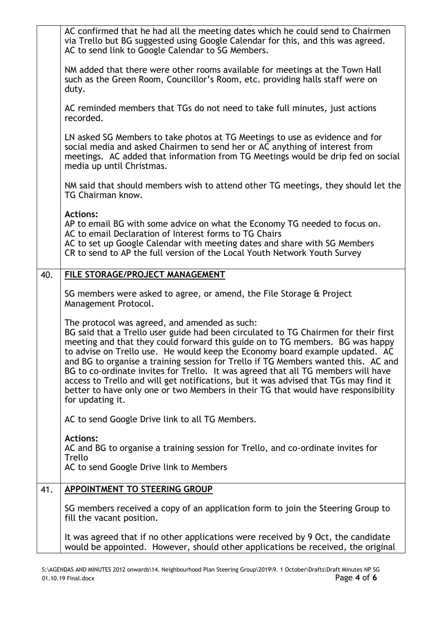|                                                                                                                                                                        | AC confirmed that he had all the meeting dates which he could send to Chairmen<br>via Trello but BG suggested using Google Calendar for this, and this was agreed.<br>AC to send link to Google Calendar to SG Members.                                                                                                                                                                                                                                                                                                                                                                                                                                                           |  |  |  |
|------------------------------------------------------------------------------------------------------------------------------------------------------------------------|-----------------------------------------------------------------------------------------------------------------------------------------------------------------------------------------------------------------------------------------------------------------------------------------------------------------------------------------------------------------------------------------------------------------------------------------------------------------------------------------------------------------------------------------------------------------------------------------------------------------------------------------------------------------------------------|--|--|--|
| NM added that there were other rooms available for meetings at the Town Hall<br>such as the Green Room, Councillor's Room, etc. providing halls staff were on<br>duty. |                                                                                                                                                                                                                                                                                                                                                                                                                                                                                                                                                                                                                                                                                   |  |  |  |
|                                                                                                                                                                        | AC reminded members that TGs do not need to take full minutes, just actions<br>recorded.                                                                                                                                                                                                                                                                                                                                                                                                                                                                                                                                                                                          |  |  |  |
|                                                                                                                                                                        | LN asked SG Members to take photos at TG Meetings to use as evidence and for<br>social media and asked Chairmen to send her or AC anything of interest from<br>meetings. AC added that information from TG Meetings would be drip fed on social<br>media up until Christmas.                                                                                                                                                                                                                                                                                                                                                                                                      |  |  |  |
|                                                                                                                                                                        | NM said that should members wish to attend other TG meetings, they should let the<br>TG Chairman know.                                                                                                                                                                                                                                                                                                                                                                                                                                                                                                                                                                            |  |  |  |
|                                                                                                                                                                        | <b>Actions:</b><br>AP to email BG with some advice on what the Economy TG needed to focus on.<br>AC to email Declaration of Interest forms to TG Chairs<br>AC to set up Google Calendar with meeting dates and share with SG Members<br>CR to send to AP the full version of the Local Youth Network Youth Survey                                                                                                                                                                                                                                                                                                                                                                 |  |  |  |
| 40.                                                                                                                                                                    | FILE STORAGE/PROJECT MANAGEMENT                                                                                                                                                                                                                                                                                                                                                                                                                                                                                                                                                                                                                                                   |  |  |  |
|                                                                                                                                                                        | SG members were asked to agree, or amend, the File Storage & Project<br>Management Protocol.                                                                                                                                                                                                                                                                                                                                                                                                                                                                                                                                                                                      |  |  |  |
|                                                                                                                                                                        | The protocol was agreed, and amended as such:<br>BG said that a Trello user guide had been circulated to TG Chairmen for their first<br>meeting and that they could forward this guide on to TG members. BG was happy<br>to advise on Trello use. He would keep the Economy board example updated. AC<br>and BG to organise a training session for Trello if TG Members wanted this. AC and<br>BG to co-ordinate invites for Trello. It was agreed that all TG members will have<br>access to Trello and will get notifications, but it was advised that TGs may find it<br>better to have only one or two Members in their TG that would have responsibility<br>for updating it. |  |  |  |
|                                                                                                                                                                        | AC to send Google Drive link to all TG Members.                                                                                                                                                                                                                                                                                                                                                                                                                                                                                                                                                                                                                                   |  |  |  |
|                                                                                                                                                                        | <b>Actions:</b><br>AC and BG to organise a training session for Trello, and co-ordinate invites for<br>Trello<br>AC to send Google Drive link to Members                                                                                                                                                                                                                                                                                                                                                                                                                                                                                                                          |  |  |  |
|                                                                                                                                                                        |                                                                                                                                                                                                                                                                                                                                                                                                                                                                                                                                                                                                                                                                                   |  |  |  |
| 41.                                                                                                                                                                    | <b>APPOINTMENT TO STEERING GROUP</b>                                                                                                                                                                                                                                                                                                                                                                                                                                                                                                                                                                                                                                              |  |  |  |
|                                                                                                                                                                        | SG members received a copy of an application form to join the Steering Group to<br>fill the vacant position.                                                                                                                                                                                                                                                                                                                                                                                                                                                                                                                                                                      |  |  |  |
|                                                                                                                                                                        | It was agreed that if no other applications were received by 9 Oct, the candidate<br>would be appointed. However, should other applications be received, the original                                                                                                                                                                                                                                                                                                                                                                                                                                                                                                             |  |  |  |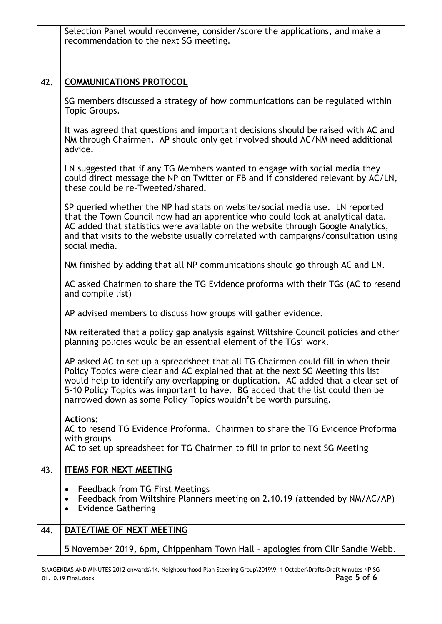|     | Selection Panel would reconvene, consider/score the applications, and make a<br>recommendation to the next SG meeting.                                                                                                                                                                                                                                                                                           |  |  |  |
|-----|------------------------------------------------------------------------------------------------------------------------------------------------------------------------------------------------------------------------------------------------------------------------------------------------------------------------------------------------------------------------------------------------------------------|--|--|--|
|     |                                                                                                                                                                                                                                                                                                                                                                                                                  |  |  |  |
|     |                                                                                                                                                                                                                                                                                                                                                                                                                  |  |  |  |
| 42. | <b>COMMUNICATIONS PROTOCOL</b>                                                                                                                                                                                                                                                                                                                                                                                   |  |  |  |
|     | SG members discussed a strategy of how communications can be regulated within<br>Topic Groups.                                                                                                                                                                                                                                                                                                                   |  |  |  |
|     | It was agreed that questions and important decisions should be raised with AC and<br>NM through Chairmen. AP should only get involved should AC/NM need additional<br>advice.                                                                                                                                                                                                                                    |  |  |  |
|     | LN suggested that if any TG Members wanted to engage with social media they<br>could direct message the NP on Twitter or FB and if considered relevant by AC/LN,<br>these could be re-Tweeted/shared.                                                                                                                                                                                                            |  |  |  |
|     | SP queried whether the NP had stats on website/social media use. LN reported<br>that the Town Council now had an apprentice who could look at analytical data.<br>AC added that statistics were available on the website through Google Analytics,<br>and that visits to the website usually correlated with campaigns/consultation using<br>social media.                                                       |  |  |  |
|     | NM finished by adding that all NP communications should go through AC and LN.                                                                                                                                                                                                                                                                                                                                    |  |  |  |
|     | AC asked Chairmen to share the TG Evidence proforma with their TGs (AC to resend<br>and compile list)                                                                                                                                                                                                                                                                                                            |  |  |  |
|     | AP advised members to discuss how groups will gather evidence.                                                                                                                                                                                                                                                                                                                                                   |  |  |  |
|     | NM reiterated that a policy gap analysis against Wiltshire Council policies and other<br>planning policies would be an essential element of the TGs' work.                                                                                                                                                                                                                                                       |  |  |  |
|     | AP asked AC to set up a spreadsheet that all TG Chairmen could fill in when their<br>Policy Topics were clear and AC explained that at the next SG Meeting this list<br>would help to identify any overlapping or duplication. AC added that a clear set of<br>5-10 Policy Topics was important to have. BG added that the list could then be<br>narrowed down as some Policy Topics wouldn't be worth pursuing. |  |  |  |
|     | <b>Actions:</b><br>AC to resend TG Evidence Proforma. Chairmen to share the TG Evidence Proforma<br>with groups<br>AC to set up spreadsheet for TG Chairmen to fill in prior to next SG Meeting                                                                                                                                                                                                                  |  |  |  |
| 43. | <b>ITEMS FOR NEXT MEETING</b>                                                                                                                                                                                                                                                                                                                                                                                    |  |  |  |
|     | Feedback from TG First Meetings<br>$\bullet$<br>Feedback from Wiltshire Planners meeting on 2.10.19 (attended by NM/AC/AP)<br>$\bullet$<br><b>Evidence Gathering</b><br>$\bullet$                                                                                                                                                                                                                                |  |  |  |
| 44. | DATE/TIME OF NEXT MEETING                                                                                                                                                                                                                                                                                                                                                                                        |  |  |  |
|     | 5 November 2019, 6pm, Chippenham Town Hall - apologies from Cllr Sandie Webb.                                                                                                                                                                                                                                                                                                                                    |  |  |  |